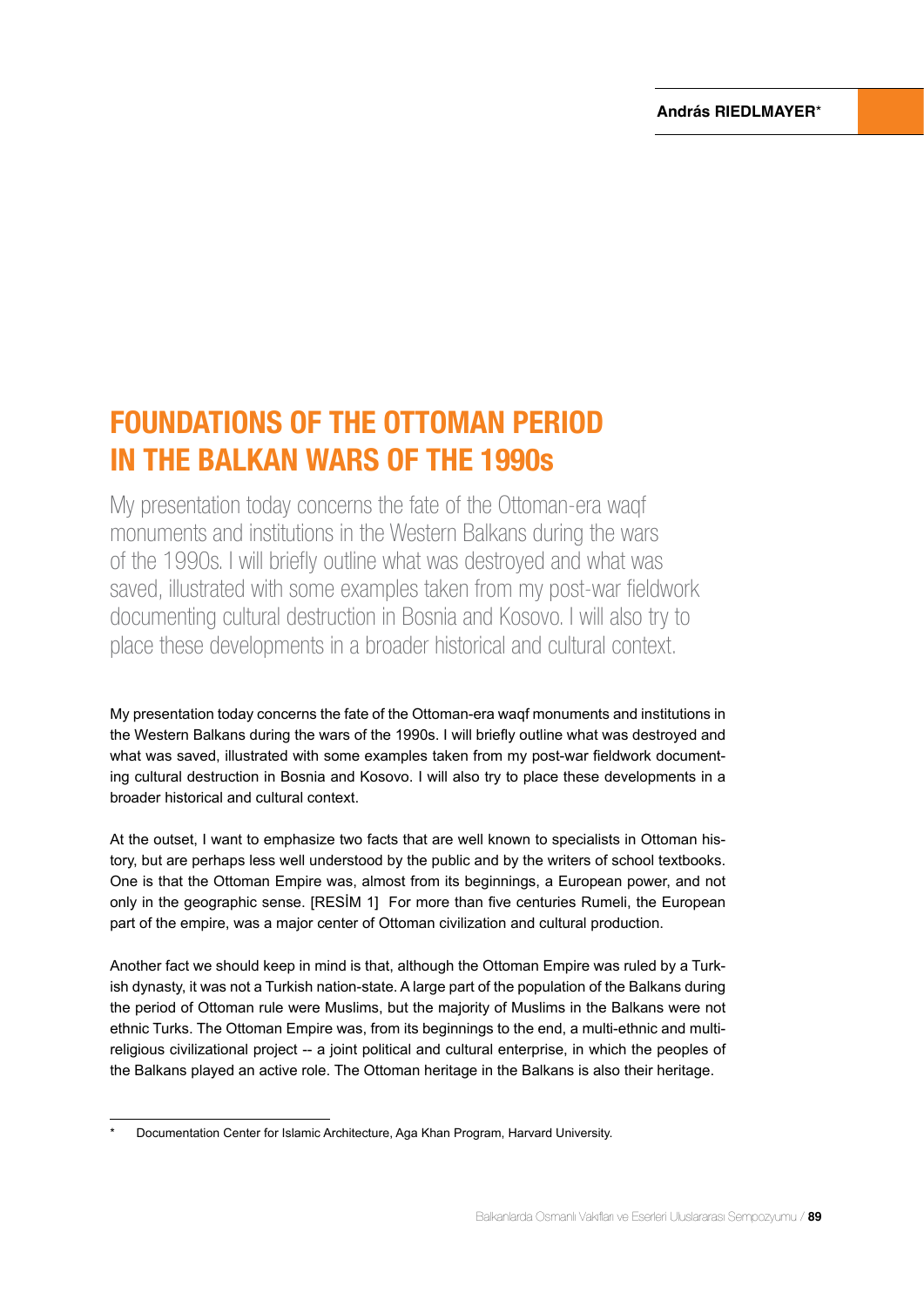# FOUNDATIONS OF THE OTTOMAN PERIOD IN THE BALKAN WARS OF THE 1990s

My presentation today concerns the fate of the Ottoman-era waqf monuments and institutions in the Western Balkans during the wars of the 1990s. I will briefly outline what was destroyed and what was saved, illustrated with some examples taken from my post-war fieldwork documenting cultural destruction in Bosnia and Kosovo. I will also try to place these developments in a broader historical and cultural context.

My presentation today concerns the fate of the Ottoman-era waqf monuments and institutions in the Western Balkans during the wars of the 1990s. I will briefly outline what was destroyed and what was saved, illustrated with some examples taken from my post-war fieldwork documenting cultural destruction in Bosnia and Kosovo. I will also try to place these developments in a broader historical and cultural context.

At the outset, I want to emphasize two facts that are well known to specialists in Ottoman history, but are perhaps less well understood by the public and by the writers of school textbooks. One is that the Ottoman Empire was, almost from its beginnings, a European power, and not only in the geographic sense. [RESİM 1] For more than five centuries Rumeli, the European part of the empire, was a major center of Ottoman civilization and cultural production.

Another fact we should keep in mind is that, although the Ottoman Empire was ruled by a Turkish dynasty, it was not a Turkish nation-state. A large part of the population of the Balkans during the period of Ottoman rule were Muslims, but the majority of Muslims in the Balkans were not ethnic Turks. The Ottoman Empire was, from its beginnings to the end, a multi-ethnic and multireligious civilizational project -- a joint political and cultural enterprise, in which the peoples of the Balkans played an active role. The Ottoman heritage in the Balkans is also their heritage.

<sup>\*</sup> Documentation Center for Islamic Architecture, Aga Khan Program, Harvard University.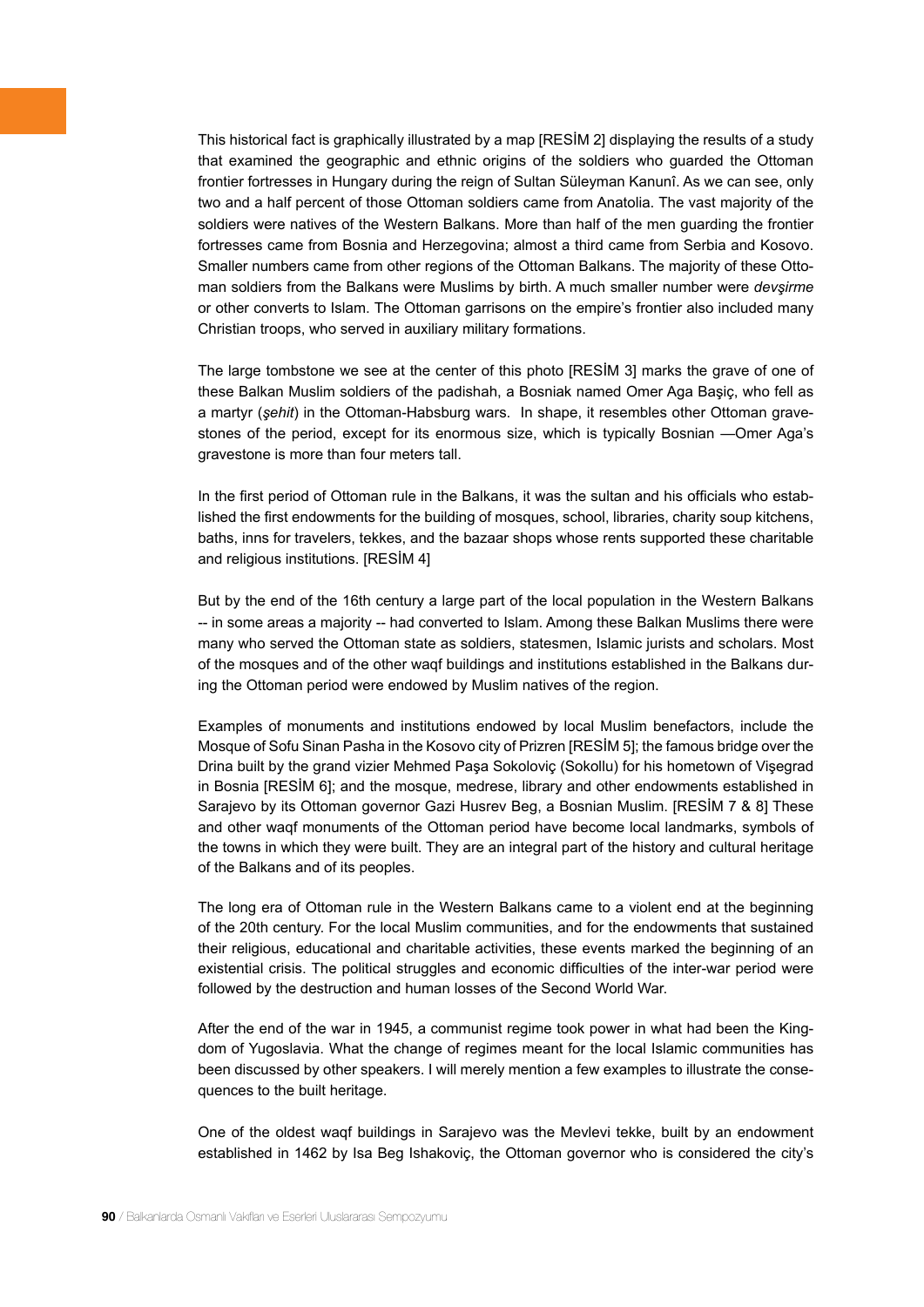This historical fact is graphically illustrated by a map [RESİM 2] displaying the results of a study that examined the geographic and ethnic origins of the soldiers who guarded the Ottoman frontier fortresses in Hungary during the reign of Sultan Süleyman Kanunî. As we can see, only two and a half percent of those Ottoman soldiers came from Anatolia. The vast majority of the soldiers were natives of the Western Balkans. More than half of the men guarding the frontier fortresses came from Bosnia and Herzegovina; almost a third came from Serbia and Kosovo. Smaller numbers came from other regions of the Ottoman Balkans. The majority of these Ottoman soldiers from the Balkans were Muslims by birth. A much smaller number were *devşirme* or other converts to Islam. The Ottoman garrisons on the empire's frontier also included many Christian troops, who served in auxiliary military formations.

The large tombstone we see at the center of this photo [RESİM 3] marks the grave of one of these Balkan Muslim soldiers of the padishah, a Bosniak named Omer Aga Başiç, who fell as a martyr (*şehit*) in the Ottoman-Habsburg wars. In shape, it resembles other Ottoman gravestones of the period, except for its enormous size, which is typically Bosnian —Omer Aga's gravestone is more than four meters tall.

In the first period of Ottoman rule in the Balkans, it was the sultan and his officials who established the first endowments for the building of mosques, school, libraries, charity soup kitchens, baths, inns for travelers, tekkes, and the bazaar shops whose rents supported these charitable and religious institutions. [RESİM 4]

But by the end of the 16th century a large part of the local population in the Western Balkans -- in some areas a majority -- had converted to Islam. Among these Balkan Muslims there were many who served the Ottoman state as soldiers, statesmen, Islamic jurists and scholars. Most of the mosques and of the other waqf buildings and institutions established in the Balkans during the Ottoman period were endowed by Muslim natives of the region.

Examples of monuments and institutions endowed by local Muslim benefactors, include the Mosque of Sofu Sinan Pasha in the Kosovo city of Prizren [RESİM 5]; the famous bridge over the Drina built by the grand vizier Mehmed Paşa Sokoloviç (Sokollu) for his hometown of Vişegrad in Bosnia [RESİM 6]; and the mosque, medrese, library and other endowments established in Sarajevo by its Ottoman governor Gazi Husrev Beg, a Bosnian Muslim. [RESİM 7 & 8] These and other waqf monuments of the Ottoman period have become local landmarks, symbols of the towns in which they were built. They are an integral part of the history and cultural heritage of the Balkans and of its peoples.

The long era of Ottoman rule in the Western Balkans came to a violent end at the beginning of the 20th century. For the local Muslim communities, and for the endowments that sustained their religious, educational and charitable activities, these events marked the beginning of an existential crisis. The political struggles and economic difficulties of the inter-war period were followed by the destruction and human losses of the Second World War.

After the end of the war in 1945, a communist regime took power in what had been the Kingdom of Yugoslavia. What the change of regimes meant for the local Islamic communities has been discussed by other speakers. I will merely mention a few examples to illustrate the consequences to the built heritage.

One of the oldest waqf buildings in Sarajevo was the Mevlevi tekke, built by an endowment established in 1462 by Isa Beg Ishakoviç, the Ottoman governor who is considered the city's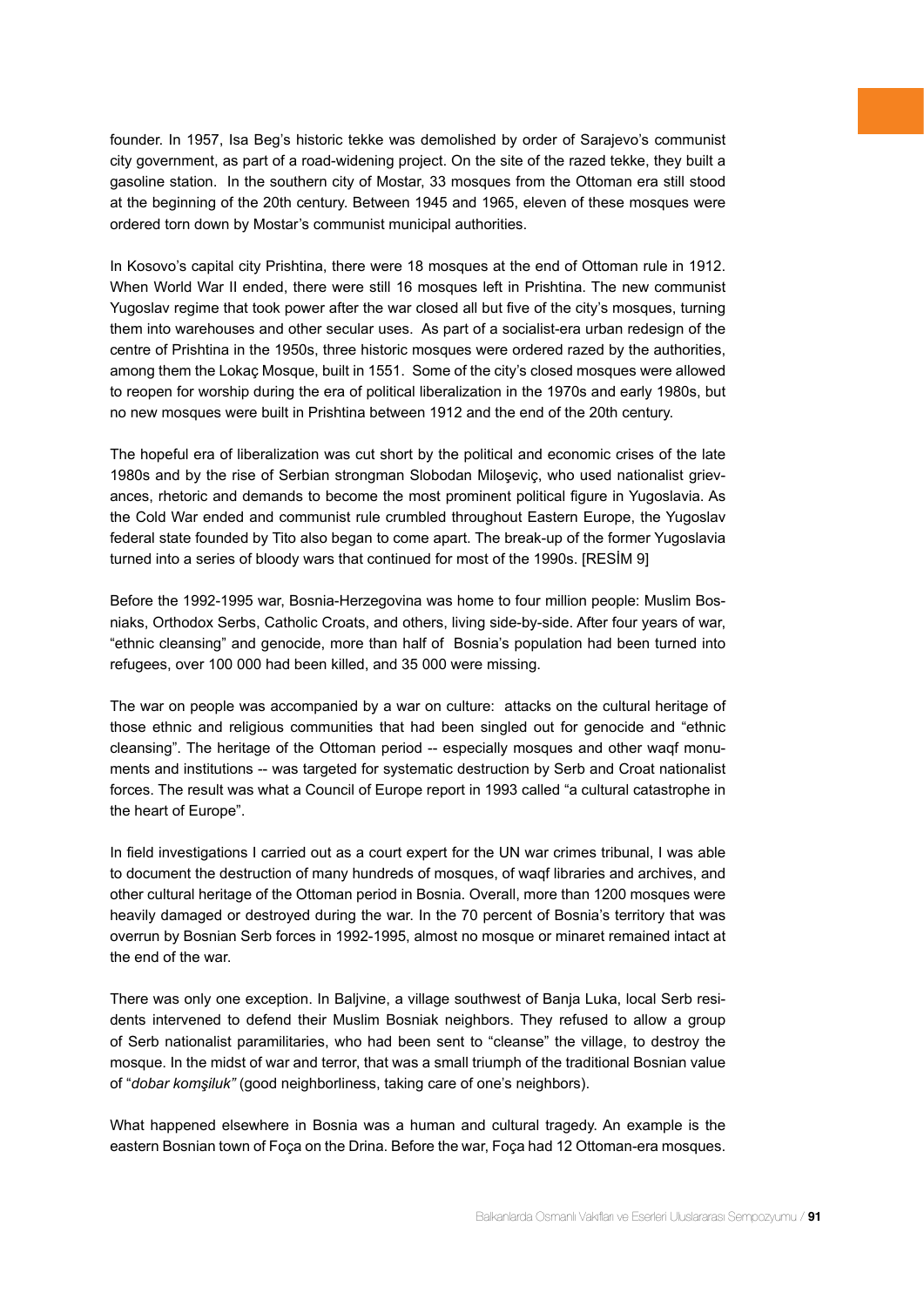founder. In 1957, Isa Beg's historic tekke was demolished by order of Sarajevo's communist city government, as part of a road-widening project. On the site of the razed tekke, they built a gasoline station. In the southern city of Mostar, 33 mosques from the Ottoman era still stood at the beginning of the 20th century. Between 1945 and 1965, eleven of these mosques were ordered torn down by Mostar's communist municipal authorities.

In Kosovo's capital city Prishtina, there were 18 mosques at the end of Ottoman rule in 1912. When World War II ended, there were still 16 mosques left in Prishtina. The new communist Yugoslav regime that took power after the war closed all but five of the city's mosques, turning them into warehouses and other secular uses. As part of a socialist-era urban redesign of the centre of Prishtina in the 1950s, three historic mosques were ordered razed by the authorities, among them the Lokaç Mosque, built in 1551. Some of the city's closed mosques were allowed to reopen for worship during the era of political liberalization in the 1970s and early 1980s, but no new mosques were built in Prishtina between 1912 and the end of the 20th century.

The hopeful era of liberalization was cut short by the political and economic crises of the late 1980s and by the rise of Serbian strongman Slobodan Miloşeviç, who used nationalist grievances, rhetoric and demands to become the most prominent political figure in Yugoslavia. As the Cold War ended and communist rule crumbled throughout Eastern Europe, the Yugoslav federal state founded by Tito also began to come apart. The break-up of the former Yugoslavia turned into a series of bloody wars that continued for most of the 1990s. [RESİM 9]

Before the 1992-1995 war, Bosnia-Herzegovina was home to four million people: Muslim Bosniaks, Orthodox Serbs, Catholic Croats, and others, living side-by-side. After four years of war, "ethnic cleansing" and genocide, more than half of Bosnia's population had been turned into refugees, over 100 000 had been killed, and 35 000 were missing.

The war on people was accompanied by a war on culture: attacks on the cultural heritage of those ethnic and religious communities that had been singled out for genocide and "ethnic cleansing". The heritage of the Ottoman period -- especially mosques and other waqf monuments and institutions -- was targeted for systematic destruction by Serb and Croat nationalist forces. The result was what a Council of Europe report in 1993 called "a cultural catastrophe in the heart of Europe".

In field investigations I carried out as a court expert for the UN war crimes tribunal, I was able to document the destruction of many hundreds of mosques, of waqf libraries and archives, and other cultural heritage of the Ottoman period in Bosnia. Overall, more than 1200 mosques were heavily damaged or destroyed during the war. In the 70 percent of Bosnia's territory that was overrun by Bosnian Serb forces in 1992-1995, almost no mosque or minaret remained intact at the end of the war.

There was only one exception. In Baljvine, a village southwest of Banja Luka, local Serb residents intervened to defend their Muslim Bosniak neighbors. They refused to allow a group of Serb nationalist paramilitaries, who had been sent to "cleanse" the village, to destroy the mosque. In the midst of war and terror, that was a small triumph of the traditional Bosnian value of "*dobar komşiluk"* (good neighborliness, taking care of one's neighbors).

What happened elsewhere in Bosnia was a human and cultural tragedy. An example is the eastern Bosnian town of Foça on the Drina. Before the war, Foça had 12 Ottoman-era mosques.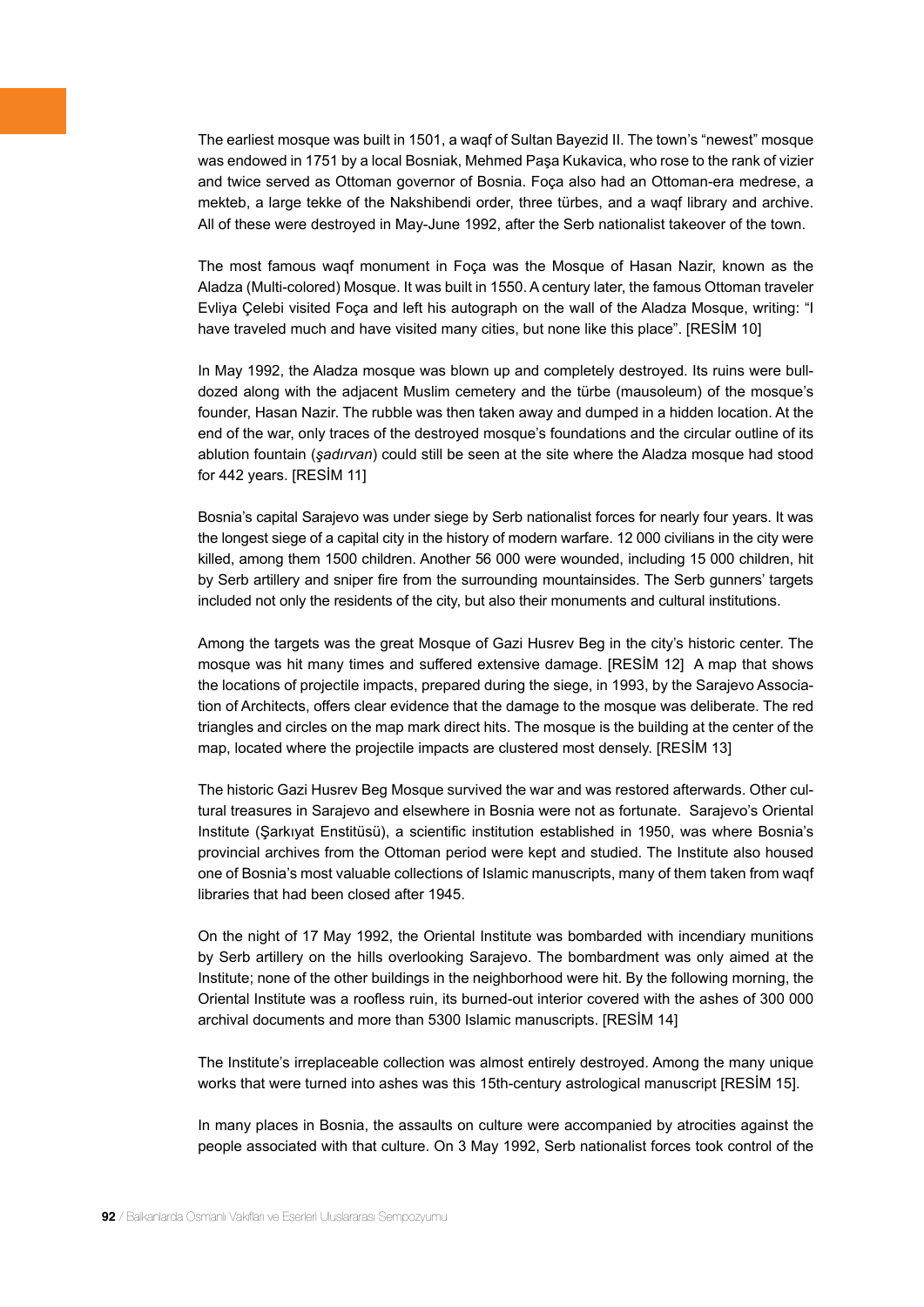The earliest mosque was built in 1501, a waqf of Sultan Bayezid II. The town's "newest" mosque was endowed in 1751 by a local Bosniak, Mehmed Paşa Kukavica, who rose to the rank of vizier and twice served as Ottoman governor of Bosnia. Foça also had an Ottoman-era medrese, a mekteb, a large tekke of the Nakshibendi order, three türbes, and a waqf library and archive. All of these were destroyed in May-June 1992, after the Serb nationalist takeover of the town.

The most famous waqf monument in Foça was the Mosque of Hasan Nazir, known as the Aladza (Multi-colored) Mosque. It was built in 1550. A century later, the famous Ottoman traveler Evliya Çelebi visited Foça and left his autograph on the wall of the Aladza Mosque, writing: "I have traveled much and have visited many cities, but none like this place". [RESİM 10]

In May 1992, the Aladza mosque was blown up and completely destroyed. Its ruins were bulldozed along with the adjacent Muslim cemetery and the türbe (mausoleum) of the mosque's founder, Hasan Nazir. The rubble was then taken away and dumped in a hidden location. At the end of the war, only traces of the destroyed mosque's foundations and the circular outline of its ablution fountain (*şadırvan*) could still be seen at the site where the Aladza mosque had stood for 442 years. [RESİM 11]

Bosnia's capital Sarajevo was under siege by Serb nationalist forces for nearly four years. It was the longest siege of a capital city in the history of modern warfare. 12 000 civilians in the city were killed, among them 1500 children. Another 56 000 were wounded, including 15 000 children, hit by Serb artillery and sniper fire from the surrounding mountainsides. The Serb gunners' targets included not only the residents of the city, but also their monuments and cultural institutions.

Among the targets was the great Mosque of Gazi Husrev Beg in the city's historic center. The mosque was hit many times and suffered extensive damage. [RESİM 12] A map that shows the locations of projectile impacts, prepared during the siege, in 1993, by the Sarajevo Association of Architects, offers clear evidence that the damage to the mosque was deliberate. The red triangles and circles on the map mark direct hits. The mosque is the building at the center of the map, located where the projectile impacts are clustered most densely. [RESİM 13]

The historic Gazi Husrev Beg Mosque survived the war and was restored afterwards. Other cultural treasures in Sarajevo and elsewhere in Bosnia were not as fortunate. Sarajevo's Oriental Institute (Şarkıyat Enstitüsü), a scientific institution established in 1950, was where Bosnia's provincial archives from the Ottoman period were kept and studied. The Institute also housed one of Bosnia's most valuable collections of Islamic manuscripts, many of them taken from waqf libraries that had been closed after 1945.

On the night of 17 May 1992, the Oriental Institute was bombarded with incendiary munitions by Serb artillery on the hills overlooking Sarajevo. The bombardment was only aimed at the Institute; none of the other buildings in the neighborhood were hit. By the following morning, the Oriental Institute was a roofless ruin, its burned-out interior covered with the ashes of 300 000 archival documents and more than 5300 Islamic manuscripts. [RESİM 14]

The Institute's irreplaceable collection was almost entirely destroyed. Among the many unique works that were turned into ashes was this 15th-century astrological manuscript [RESİM 15].

In many places in Bosnia, the assaults on culture were accompanied by atrocities against the people associated with that culture. On 3 May 1992, Serb nationalist forces took control of the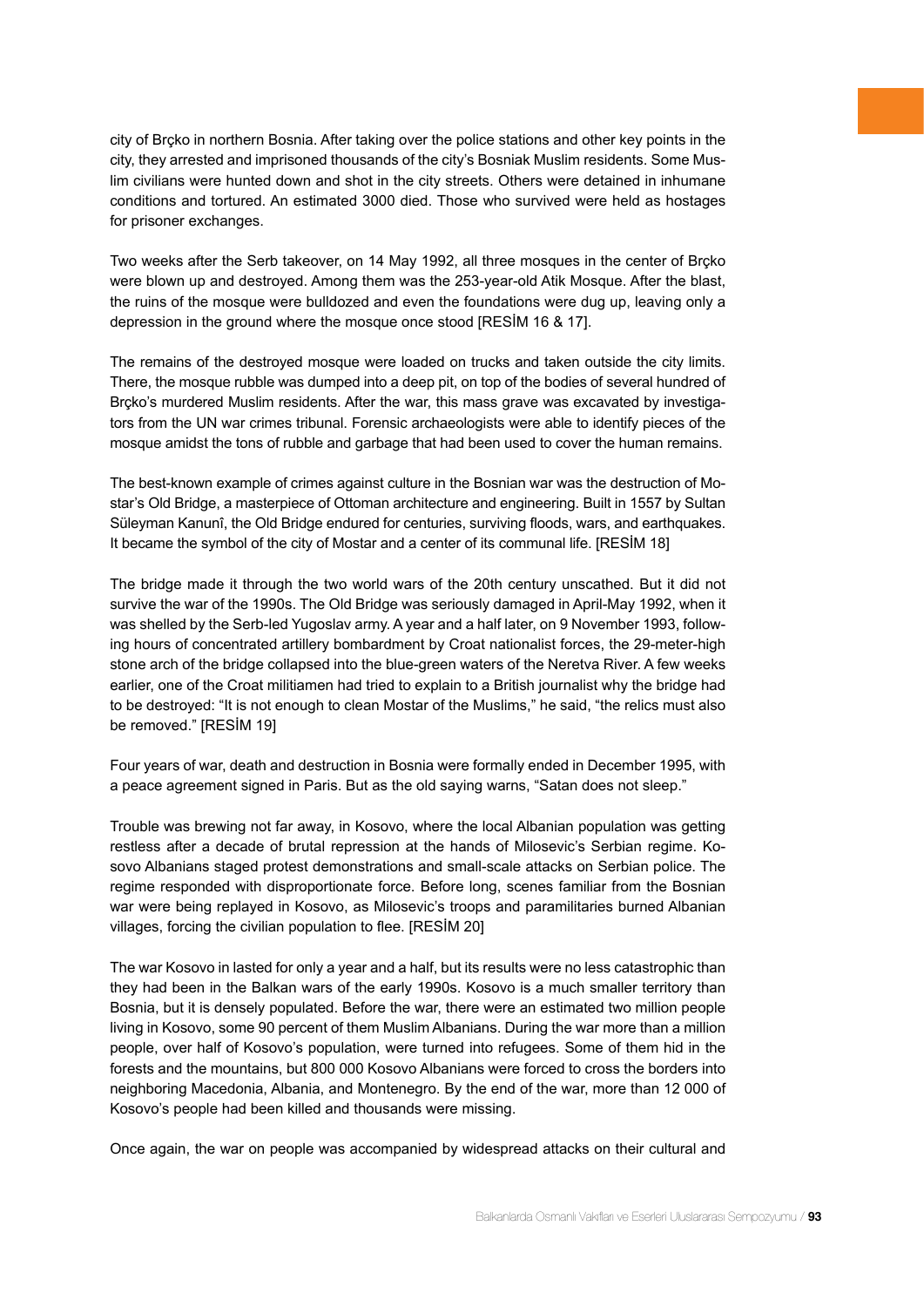city of Brçko in northern Bosnia. After taking over the police stations and other key points in the city, they arrested and imprisoned thousands of the city's Bosniak Muslim residents. Some Muslim civilians were hunted down and shot in the city streets. Others were detained in inhumane conditions and tortured. An estimated 3000 died. Those who survived were held as hostages for prisoner exchanges.

Two weeks after the Serb takeover, on 14 May 1992, all three mosques in the center of Brçko were blown up and destroyed. Among them was the 253-year-old Atik Mosque. After the blast, the ruins of the mosque were bulldozed and even the foundations were dug up, leaving only a depression in the ground where the mosque once stood [RESİM 16 & 17].

The remains of the destroyed mosque were loaded on trucks and taken outside the city limits. There, the mosque rubble was dumped into a deep pit, on top of the bodies of several hundred of Brcko's murdered Muslim residents. After the war, this mass grave was excavated by investigators from the UN war crimes tribunal. Forensic archaeologists were able to identify pieces of the mosque amidst the tons of rubble and garbage that had been used to cover the human remains.

The best-known example of crimes against culture in the Bosnian war was the destruction of Mostar's Old Bridge, a masterpiece of Ottoman architecture and engineering. Built in 1557 by Sultan Süleyman Kanunî, the Old Bridge endured for centuries, surviving floods, wars, and earthquakes. It became the symbol of the city of Mostar and a center of its communal life. [RESİM 18]

The bridge made it through the two world wars of the 20th century unscathed. But it did not survive the war of the 1990s. The Old Bridge was seriously damaged in April-May 1992, when it was shelled by the Serb-led Yugoslav army. A year and a half later, on 9 November 1993, following hours of concentrated artillery bombardment by Croat nationalist forces, the 29-meter-high stone arch of the bridge collapsed into the blue-green waters of the Neretva River. A few weeks earlier, one of the Croat militiamen had tried to explain to a British journalist why the bridge had to be destroyed: "It is not enough to clean Mostar of the Muslims," he said, "the relics must also be removed." [RESİM 19]

Four years of war, death and destruction in Bosnia were formally ended in December 1995, with a peace agreement signed in Paris. But as the old saying warns, "Satan does not sleep."

Trouble was brewing not far away, in Kosovo, where the local Albanian population was getting restless after a decade of brutal repression at the hands of Milosevic's Serbian regime. Kosovo Albanians staged protest demonstrations and small-scale attacks on Serbian police. The regime responded with disproportionate force. Before long, scenes familiar from the Bosnian war were being replayed in Kosovo, as Milosevic's troops and paramilitaries burned Albanian villages, forcing the civilian population to flee. [RESİM 20]

The war Kosovo in lasted for only a year and a half, but its results were no less catastrophic than they had been in the Balkan wars of the early 1990s. Kosovo is a much smaller territory than Bosnia, but it is densely populated. Before the war, there were an estimated two million people living in Kosovo, some 90 percent of them Muslim Albanians. During the war more than a million people, over half of Kosovo's population, were turned into refugees. Some of them hid in the forests and the mountains, but 800 000 Kosovo Albanians were forced to cross the borders into neighboring Macedonia, Albania, and Montenegro. By the end of the war, more than 12 000 of Kosovo's people had been killed and thousands were missing.

Once again, the war on people was accompanied by widespread attacks on their cultural and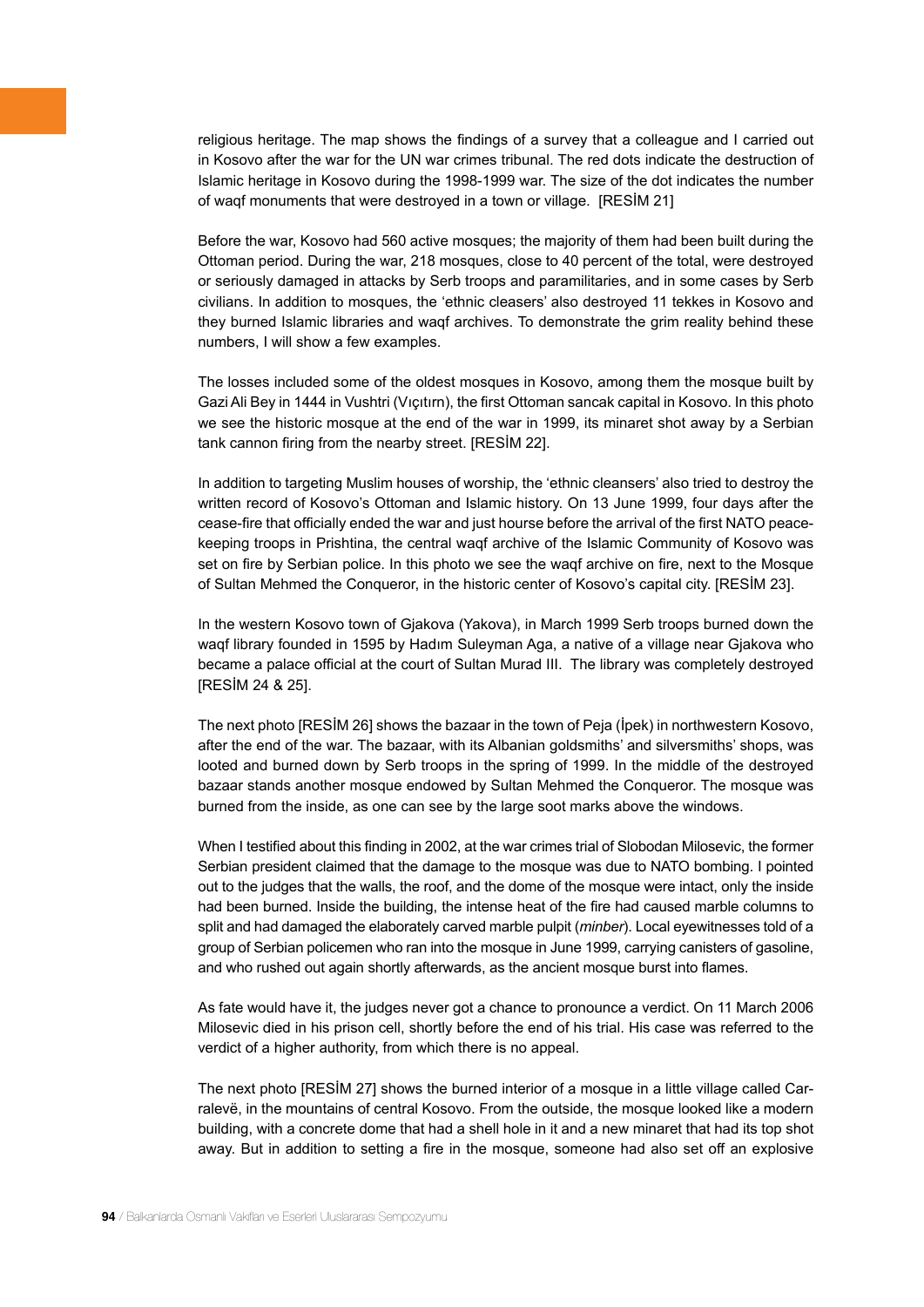religious heritage. The map shows the findings of a survey that a colleague and I carried out in Kosovo after the war for the UN war crimes tribunal. The red dots indicate the destruction of Islamic heritage in Kosovo during the 1998-1999 war. The size of the dot indicates the number of waqf monuments that were destroyed in a town or village. [RESİM 21]

Before the war, Kosovo had 560 active mosques; the majority of them had been built during the Ottoman period. During the war, 218 mosques, close to 40 percent of the total, were destroyed or seriously damaged in attacks by Serb troops and paramilitaries, and in some cases by Serb civilians. In addition to mosques, the 'ethnic cleasers' also destroyed 11 tekkes in Kosovo and they burned Islamic libraries and waqf archives. To demonstrate the grim reality behind these numbers, I will show a few examples.

The losses included some of the oldest mosques in Kosovo, among them the mosque built by Gazi Ali Bey in 1444 in Vushtri (Vıçıtırn), the first Ottoman sancak capital in Kosovo. In this photo we see the historic mosque at the end of the war in 1999, its minaret shot away by a Serbian tank cannon firing from the nearby street. [RESİM 22].

In addition to targeting Muslim houses of worship, the 'ethnic cleansers' also tried to destroy the written record of Kosovo's Ottoman and Islamic history. On 13 June 1999, four days after the cease-fire that officially ended the war and just hourse before the arrival of the first NATO peacekeeping troops in Prishtina, the central waqf archive of the Islamic Community of Kosovo was set on fire by Serbian police. In this photo we see the waqf archive on fire, next to the Mosque of Sultan Mehmed the Conqueror, in the historic center of Kosovo's capital city. [RESİM 23].

In the western Kosovo town of Gjakova (Yakova), in March 1999 Serb troops burned down the waqf library founded in 1595 by Hadım Suleyman Aga, a native of a village near Gjakova who became a palace official at the court of Sultan Murad III. The library was completely destroyed [RESİM 24 & 25].

The next photo [RESİM 26] shows the bazaar in the town of Peja (İpek) in northwestern Kosovo, after the end of the war. The bazaar, with its Albanian goldsmiths' and silversmiths' shops, was looted and burned down by Serb troops in the spring of 1999. In the middle of the destroyed bazaar stands another mosque endowed by Sultan Mehmed the Conqueror. The mosque was burned from the inside, as one can see by the large soot marks above the windows.

When I testified about this finding in 2002, at the war crimes trial of Slobodan Milosevic, the former Serbian president claimed that the damage to the mosque was due to NATO bombing. I pointed out to the judges that the walls, the roof, and the dome of the mosque were intact, only the inside had been burned. Inside the building, the intense heat of the fire had caused marble columns to split and had damaged the elaborately carved marble pulpit (*minber*). Local eyewitnesses told of a group of Serbian policemen who ran into the mosque in June 1999, carrying canisters of gasoline, and who rushed out again shortly afterwards, as the ancient mosque burst into flames.

As fate would have it, the judges never got a chance to pronounce a verdict. On 11 March 2006 Milosevic died in his prison cell, shortly before the end of his trial. His case was referred to the verdict of a higher authority, from which there is no appeal.

The next photo [RESİM 27] shows the burned interior of a mosque in a little village called Carralevë, in the mountains of central Kosovo. From the outside, the mosque looked like a modern building, with a concrete dome that had a shell hole in it and a new minaret that had its top shot away. But in addition to setting a fire in the mosque, someone had also set off an explosive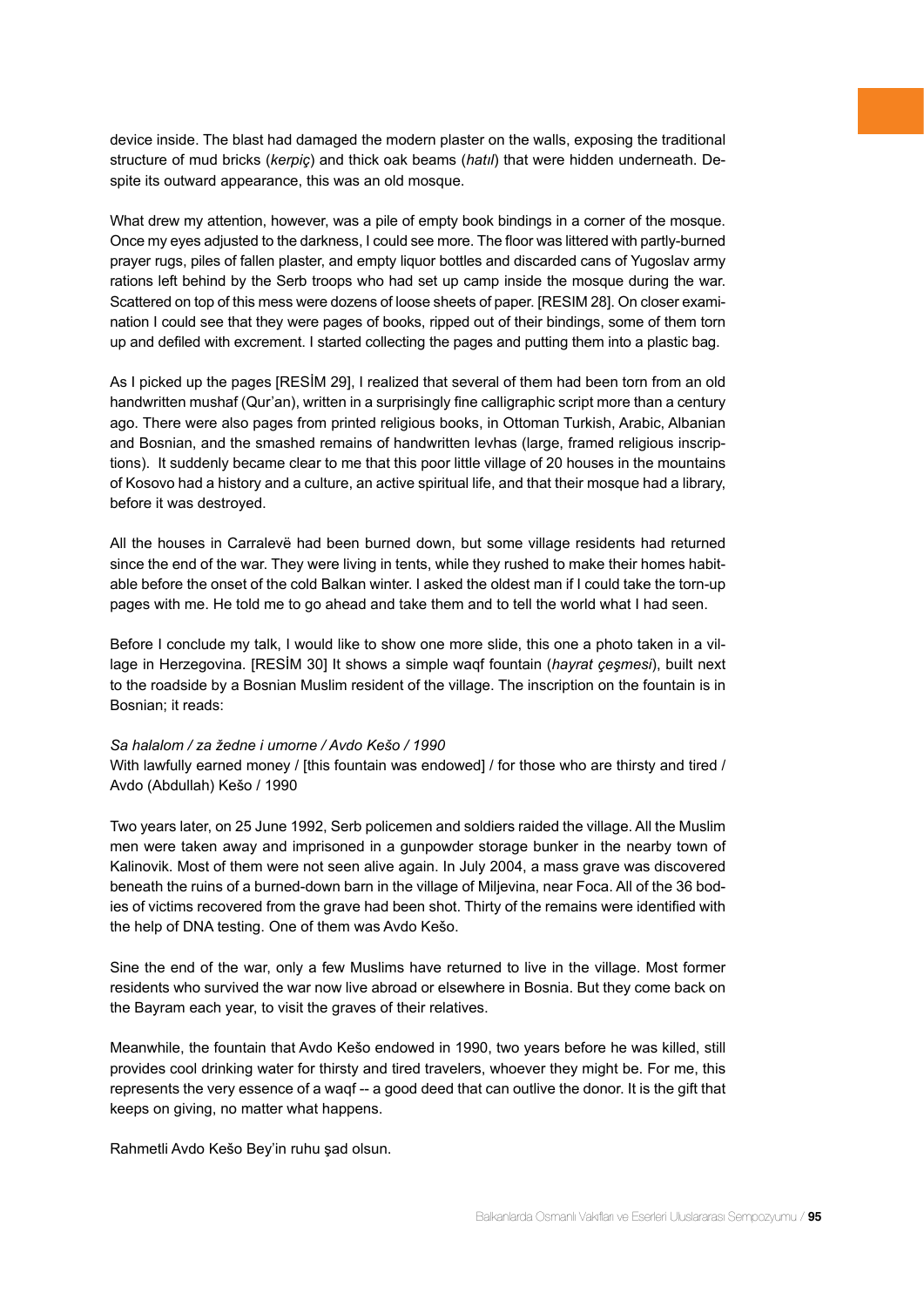device inside. The blast had damaged the modern plaster on the walls, exposing the traditional structure of mud bricks (*kerpiç*) and thick oak beams (*hatıl*) that were hidden underneath. Despite its outward appearance, this was an old mosque.

What drew my attention, however, was a pile of empty book bindings in a corner of the mosque. Once my eyes adjusted to the darkness, I could see more. The floor was littered with partly-burned prayer rugs, piles of fallen plaster, and empty liquor bottles and discarded cans of Yugoslav army rations left behind by the Serb troops who had set up camp inside the mosque during the war. Scattered on top of this mess were dozens of loose sheets of paper. [RESIM 28]. On closer examination I could see that they were pages of books, ripped out of their bindings, some of them torn up and defiled with excrement. I started collecting the pages and putting them into a plastic bag.

As I picked up the pages [RESİM 29], I realized that several of them had been torn from an old handwritten mushaf (Qur'an), written in a surprisingly fine calligraphic script more than a century ago. There were also pages from printed religious books, in Ottoman Turkish, Arabic, Albanian and Bosnian, and the smashed remains of handwritten levhas (large, framed religious inscriptions). It suddenly became clear to me that this poor little village of 20 houses in the mountains of Kosovo had a history and a culture, an active spiritual life, and that their mosque had a library, before it was destroyed.

All the houses in Carralevë had been burned down, but some village residents had returned since the end of the war. They were living in tents, while they rushed to make their homes habitable before the onset of the cold Balkan winter. I asked the oldest man if I could take the torn-up pages with me. He told me to go ahead and take them and to tell the world what I had seen.

Before I conclude my talk, I would like to show one more slide, this one a photo taken in a village in Herzegovina. [RESİM 30] It shows a simple waqf fountain (*hayrat çeşmesi*), built next to the roadside by a Bosnian Muslim resident of the village. The inscription on the fountain is in Bosnian; it reads:

#### *Sa halalom / za žedne i umorne / Avdo Kešo / 1990*

With lawfully earned money / [this fountain was endowed] / for those who are thirsty and tired / Avdo (Abdullah) Kešo / 1990

Two years later, on 25 June 1992, Serb policemen and soldiers raided the village. All the Muslim men were taken away and imprisoned in a gunpowder storage bunker in the nearby town of Kalinovik. Most of them were not seen alive again. In July 2004, a mass grave was discovered beneath the ruins of a burned-down barn in the village of Miljevina, near Foca. All of the 36 bodies of victims recovered from the grave had been shot. Thirty of the remains were identified with the help of DNA testing. One of them was Avdo Kešo.

Sine the end of the war, only a few Muslims have returned to live in the village. Most former residents who survived the war now live abroad or elsewhere in Bosnia. But they come back on the Bayram each year, to visit the graves of their relatives.

Meanwhile, the fountain that Avdo Kešo endowed in 1990, two years before he was killed, still provides cool drinking water for thirsty and tired travelers, whoever they might be. For me, this represents the very essence of a waqf -- a good deed that can outlive the donor. It is the gift that keeps on giving, no matter what happens.

Rahmetli Avdo Kešo Bey'in ruhu şad olsun.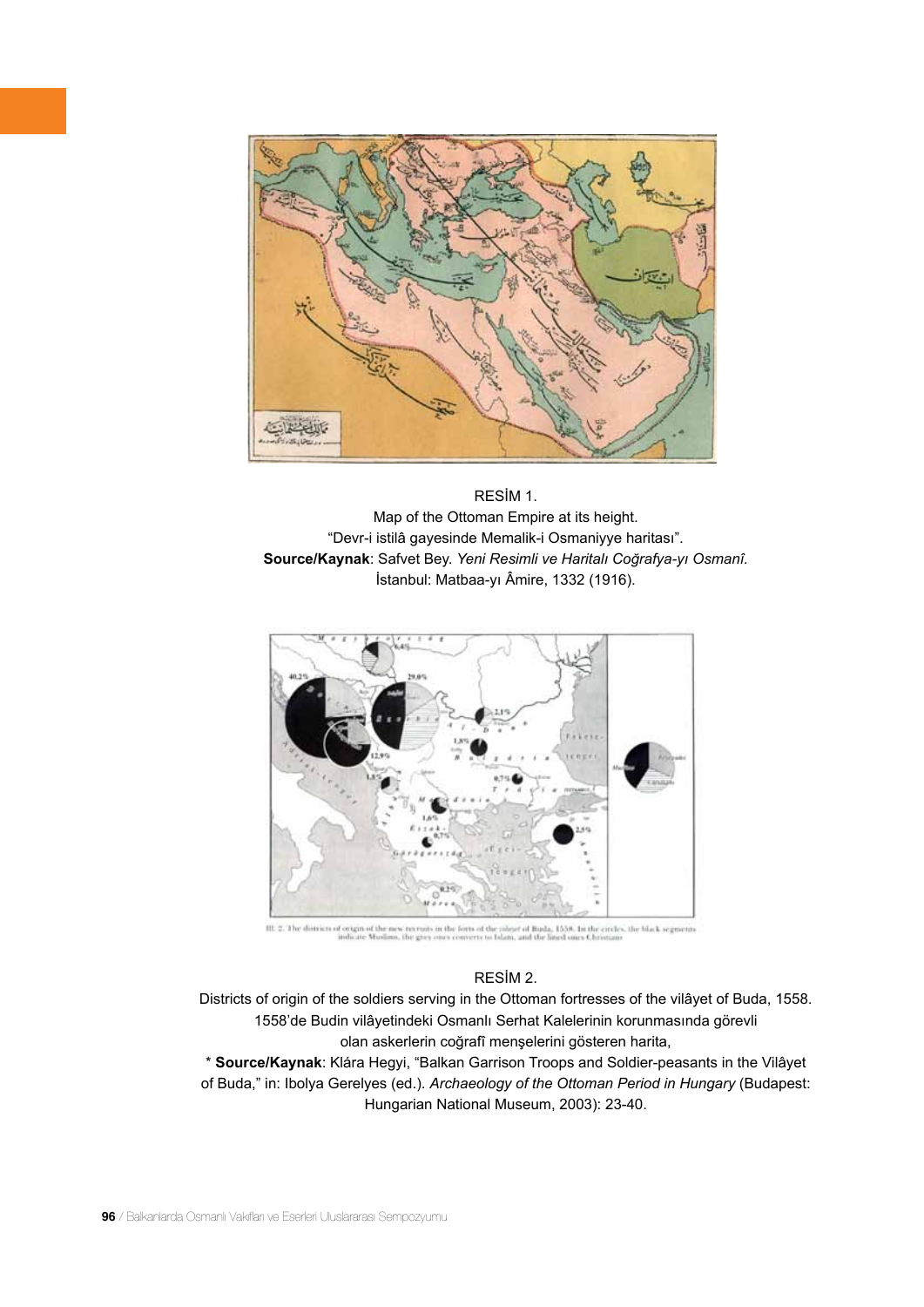

RESİM 1. Map of the Ottoman Empire at its height. "Devr-i istilâ gayesinde Memalik-i Osmaniyye haritası". **Source/Kaynak**: Safvet Bey. *Yeni Resimli ve Haritalı Coğrafya-yı Osmanî.* İstanbul: Matbaa-yı Âmire, 1332 (1916).



is in the forts of the might of Buda, 1558. In the circles, the black segments<br>a curv converte to Islam, and the lined ones Christians III: 2. The detricts of origin of the net

#### RESİM 2.

Districts of origin of the soldiers serving in the Ottoman fortresses of the vilâyet of Buda, 1558. 1558'de Budin vilâyetindeki Osmanlı Serhat Kalelerinin korunmasında görevli olan askerlerin coğrafî menşelerini gösteren harita,

\* **Source/Kaynak**: Klára Hegyi, "Balkan Garrison Troops and Soldier-peasants in the Vilâyet of Buda," in: Ibolya Gerelyes (ed.). *Archaeology of the Ottoman Period in Hungary* (Budapest: Hungarian National Museum, 2003): 23-40.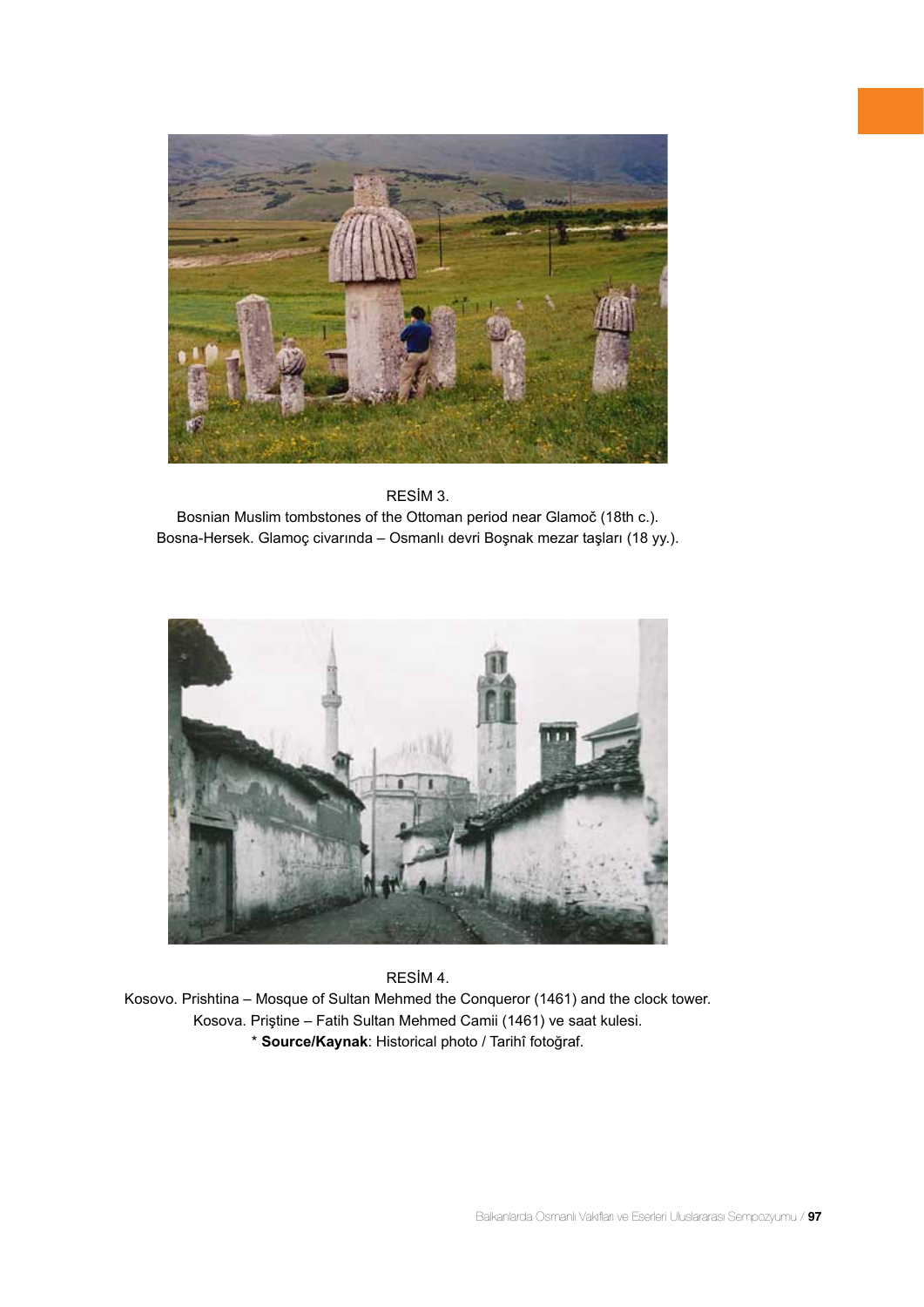



Bosnian Muslim tombstones of the Ottoman period near Glamoč (18th c.). Bosna-Hersek. Glamoç civarında – Osmanlı devri Boşnak mezar taşları (18 yy.).



RESİM 4.

Kosovo. Prishtina – Mosque of Sultan Mehmed the Conqueror (1461) and the clock tower. Kosova. Priştine – Fatih Sultan Mehmed Camii (1461) ve saat kulesi. \* **Source/Kaynak**: Historical photo / Tarihî fotoğraf.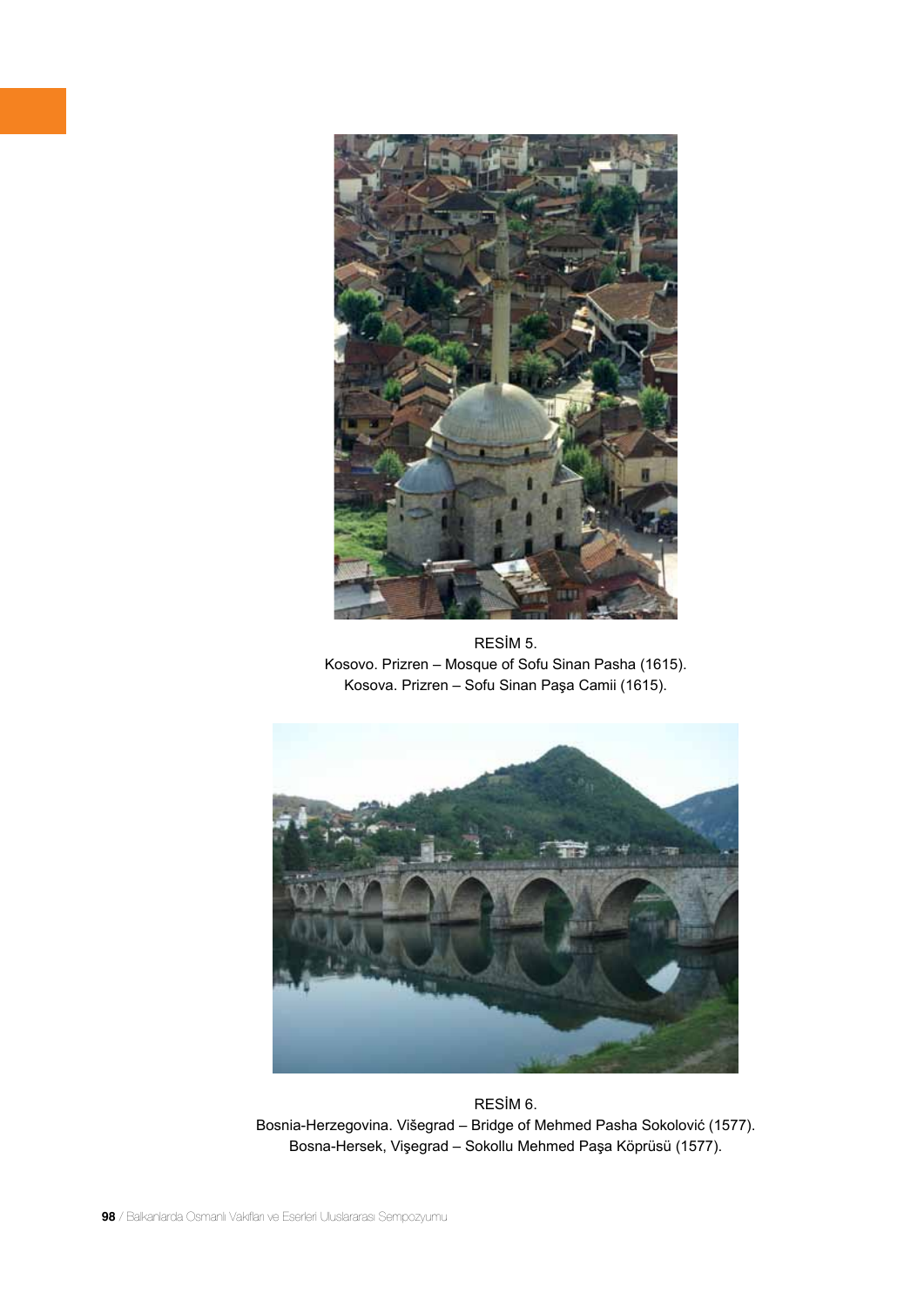

RESİM 5. Kosovo. Prizren – Mosque of Sofu Sinan Pasha (1615). Kosova. Prizren – Sofu Sinan Paşa Camii (1615).



RESİM 6. Bosnia-Herzegovina. Višegrad – Bridge of Mehmed Pasha Sokolović (1577). Bosna-Hersek, Vişegrad – Sokollu Mehmed Paşa Köprüsü (1577).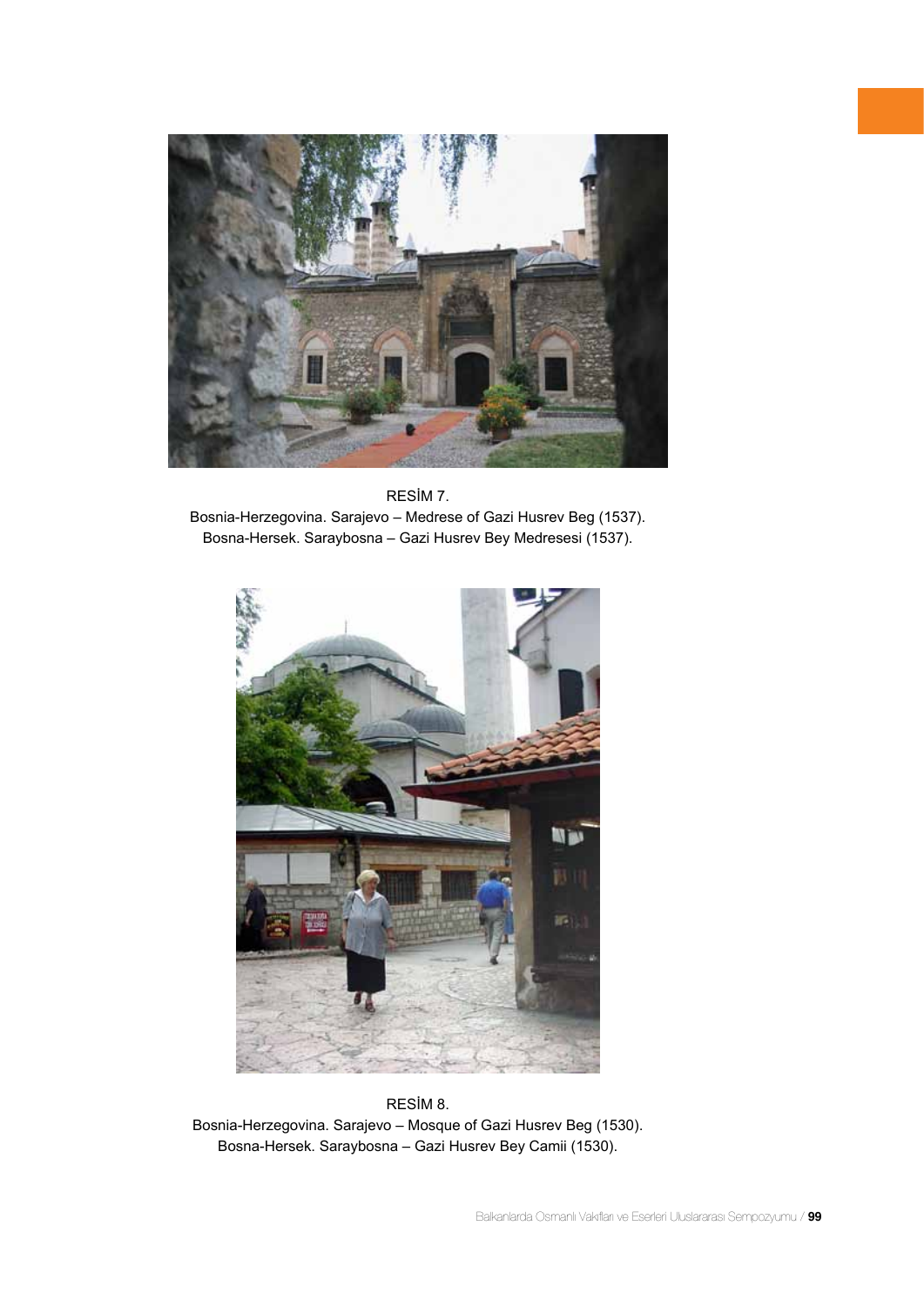





RESİM 8. Bosnia-Herzegovina. Sarajevo – Mosque of Gazi Husrev Beg (1530). Bosna-Hersek. Saraybosna – Gazi Husrev Bey Camii (1530).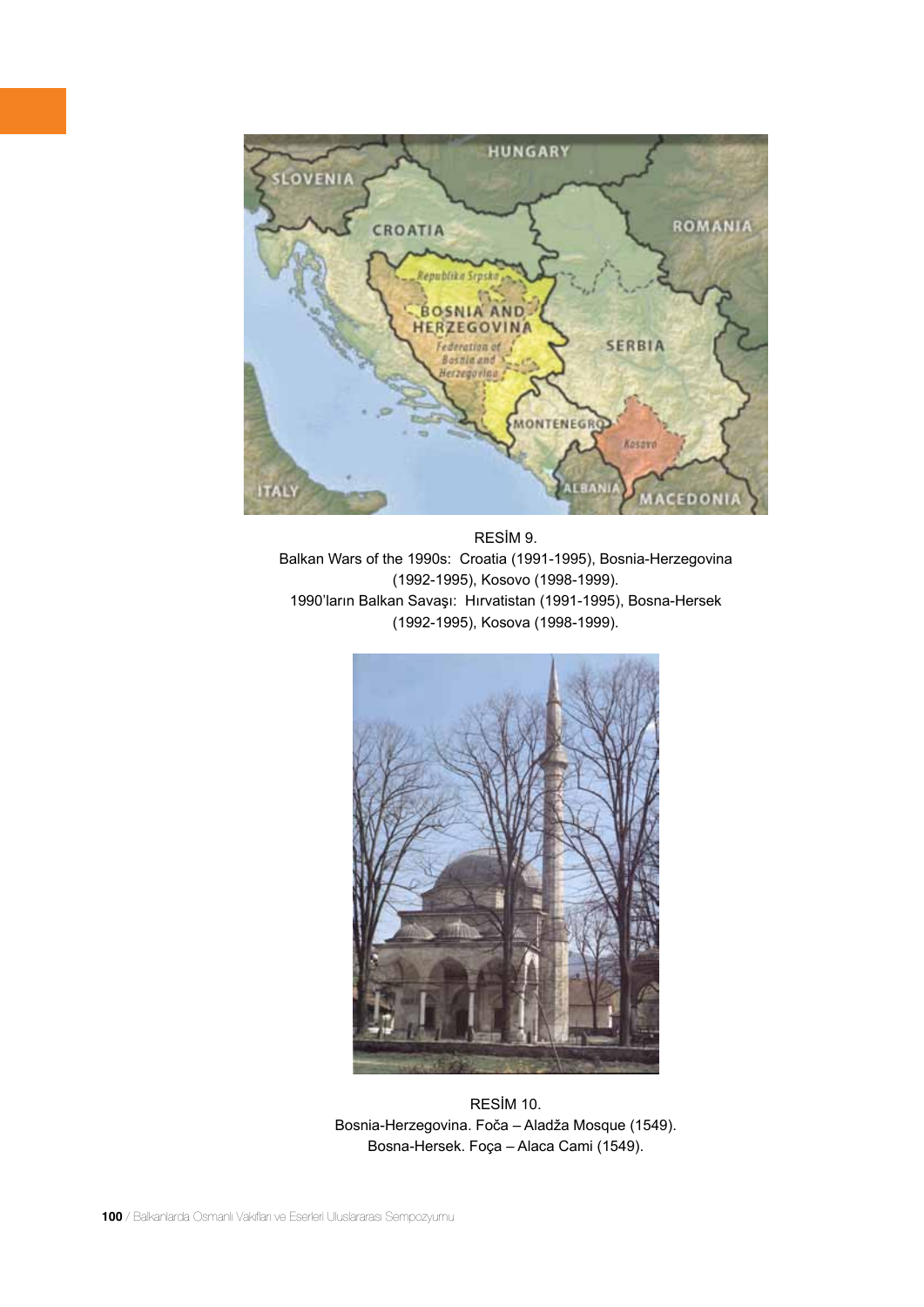

RESİM 9. Balkan Wars of the 1990s: Croatia (1991-1995), Bosnia-Herzegovina (1992-1995), Kosovo (1998-1999). 1990'ların Balkan Savaşı: Hırvatistan (1991-1995), Bosna-Hersek (1992-1995), Kosova (1998-1999).



RESİM 10. Bosnia-Herzegovina. Foča – Aladža Mosque (1549). Bosna-Hersek. Foça – Alaca Cami (1549).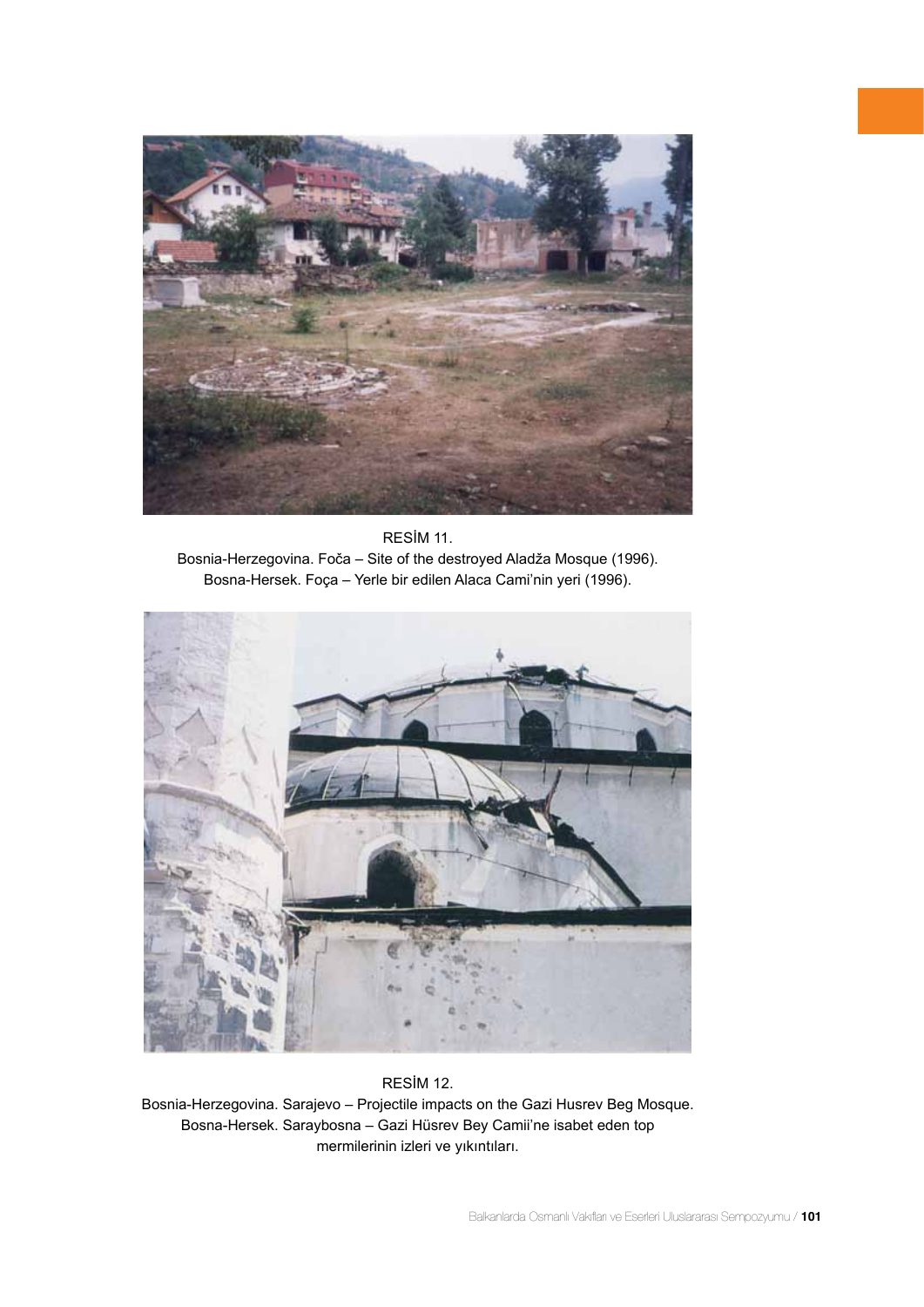





### RESİM 12.

Bosnia-Herzegovina. Sarajevo – Projectile impacts on the Gazi Husrev Beg Mosque. Bosna-Hersek. Saraybosna – Gazi Hüsrev Bey Camii'ne isabet eden top mermilerinin izleri ve yıkıntıları.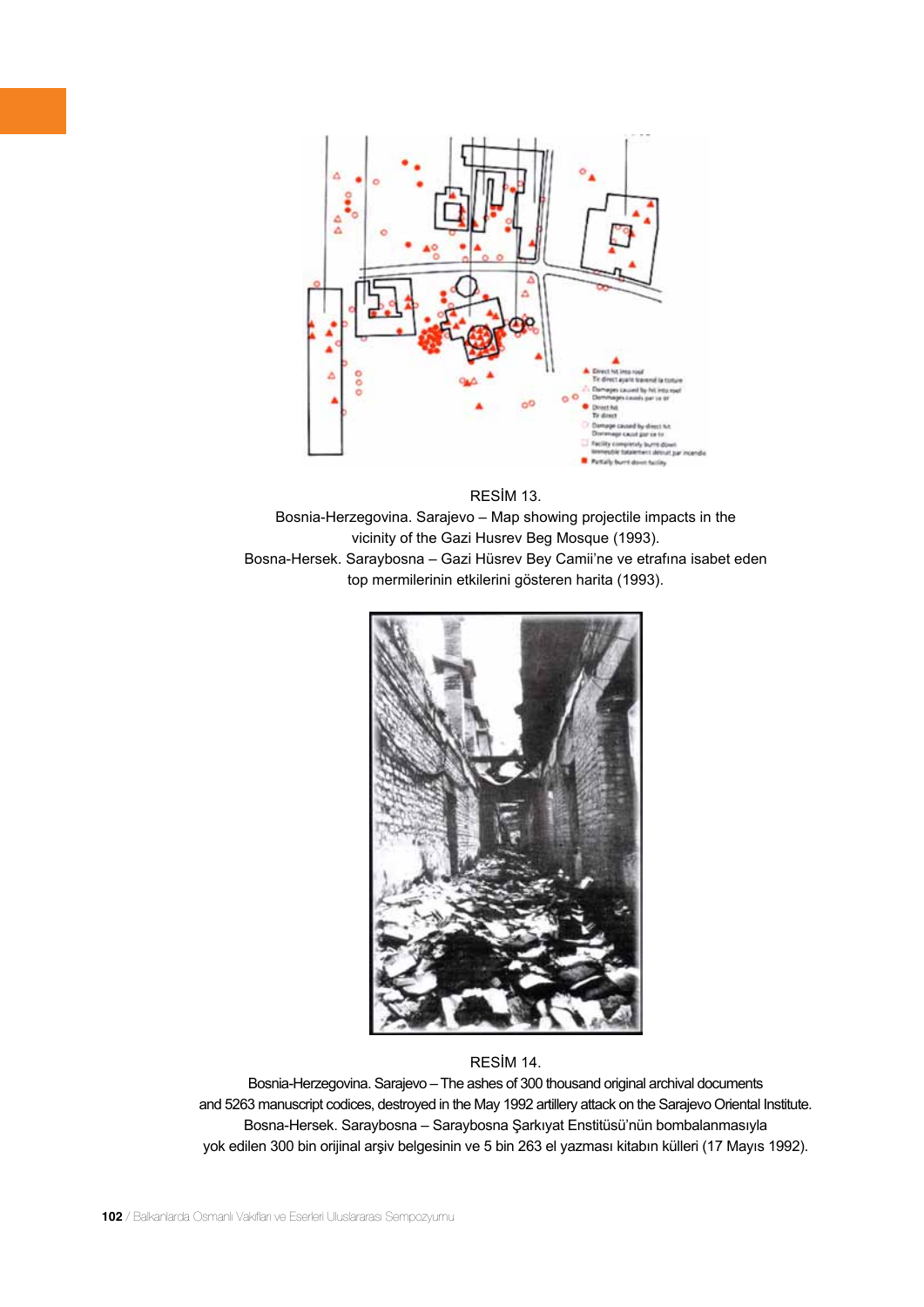

RESİM 13. Bosnia-Herzegovina. Sarajevo – Map showing projectile impacts in the vicinity of the Gazi Husrev Beg Mosque (1993). Bosna-Hersek. Saraybosna – Gazi Hüsrev Bey Camii'ne ve etrafına isabet eden top mermilerinin etkilerini gösteren harita (1993).



# RESİM 14.

Bosnia-Herzegovina. Sarajevo – The ashes of 300 thousand original archival documents and 5263 manuscript codices, destroyed in the May 1992 artillery attack on the Sarajevo Oriental Institute. Bosna-Hersek. Saraybosna – Saraybosna Şarkıyat Enstitüsü'nün bombalanmasıyla yok edilen 300 bin orijinal arşiv belgesinin ve 5 bin 263 el yazması kitabın külleri (17 Mayıs 1992).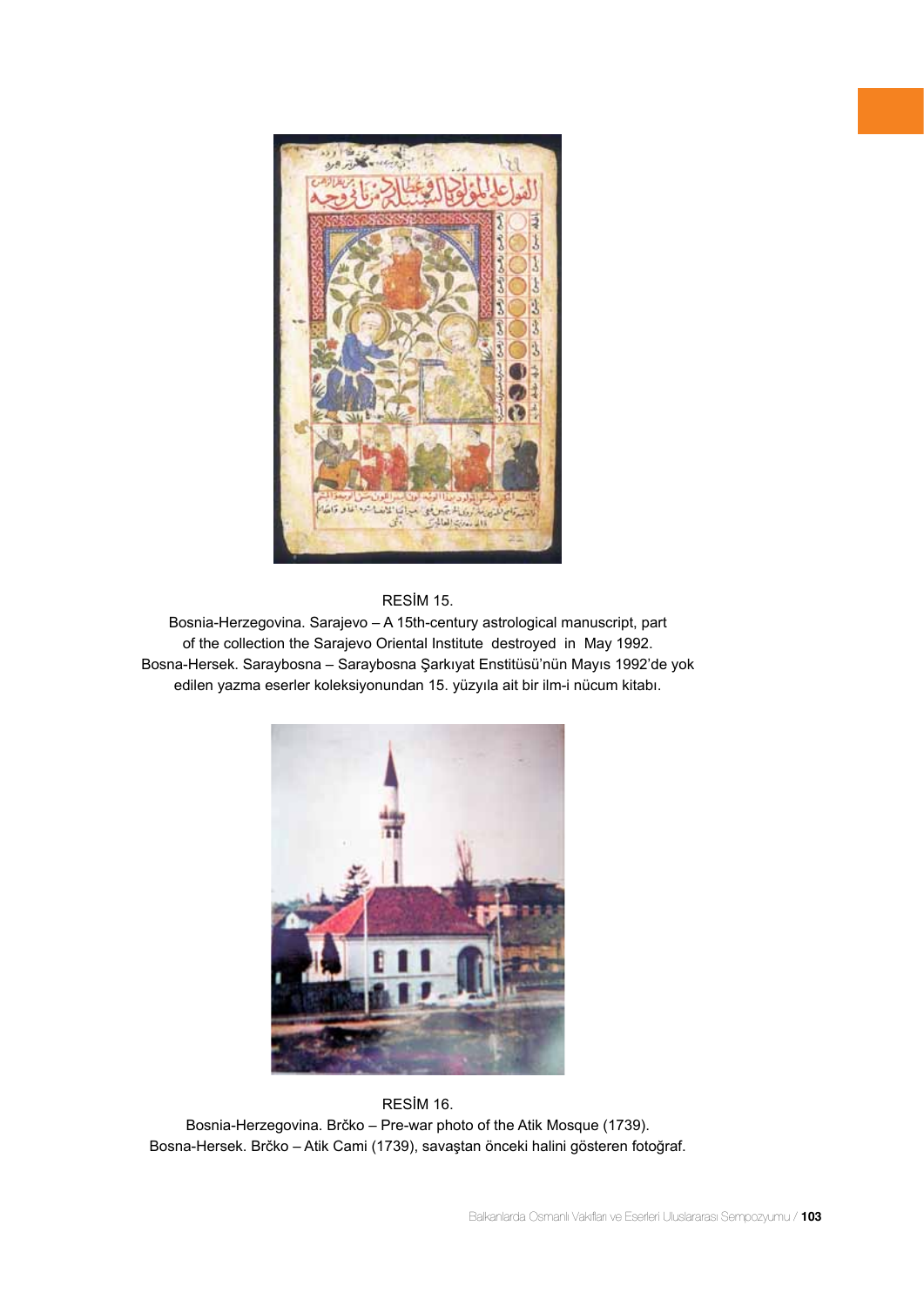



Bosnia-Herzegovina. Sarajevo – A 15th-century astrological manuscript, part of the collection the Sarajevo Oriental Institute destroyed in May 1992. Bosna-Hersek. Saraybosna – Saraybosna Şarkıyat Enstitüsü'nün Mayıs 1992'de yok edilen yazma eserler koleksiyonundan 15. yüzyıla ait bir ilm-i nücum kitabı.



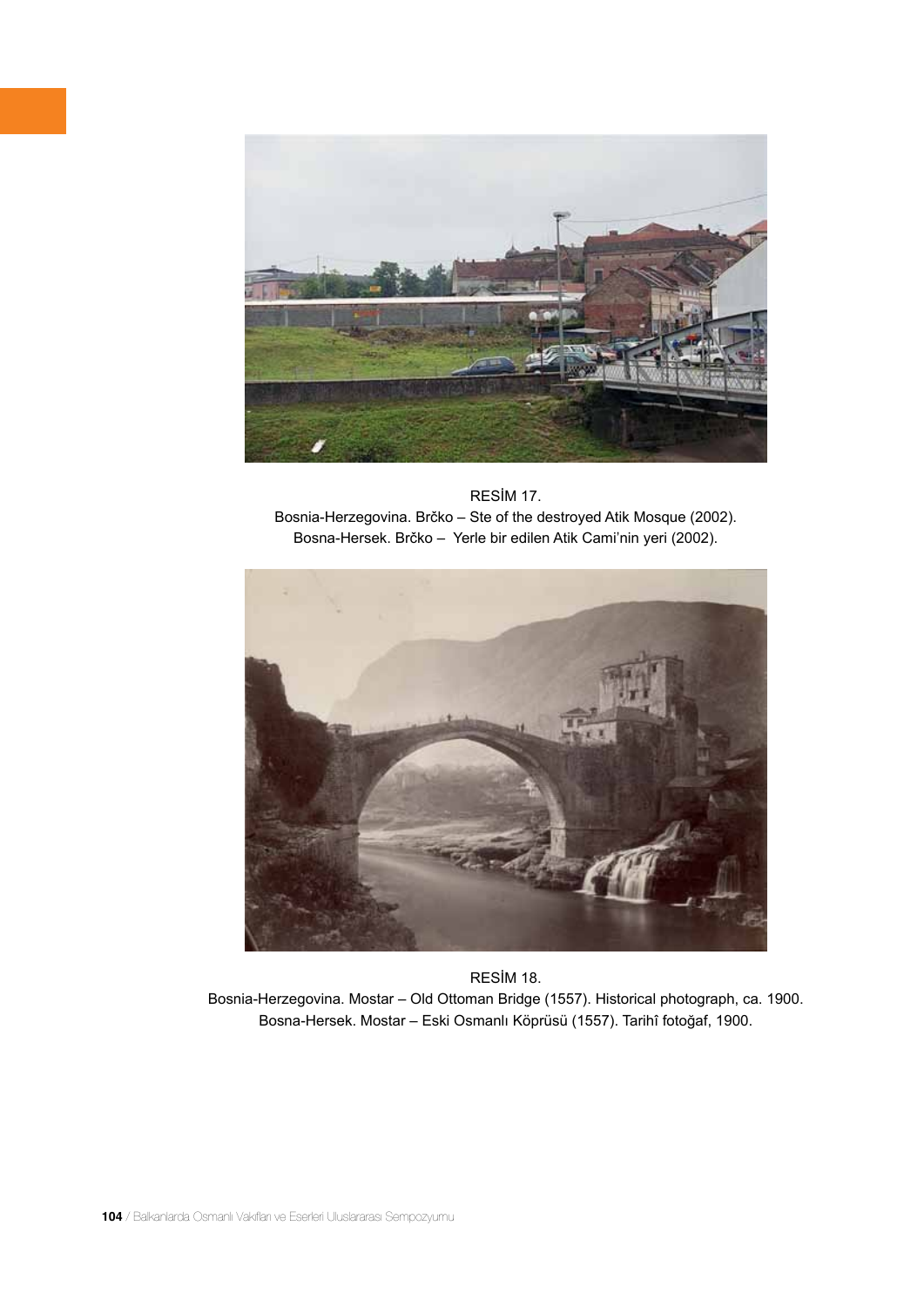

RESİM 17. Bosnia-Herzegovina. Brčko – Ste of the destroyed Atik Mosque (2002). Bosna-Hersek. Brčko – Yerle bir edilen Atik Cami'nin yeri (2002).



RESİM 18. Bosnia-Herzegovina. Mostar – Old Ottoman Bridge (1557). Historical photograph, ca. 1900. Bosna-Hersek. Mostar – Eski Osmanlı Köprüsü (1557). Tarihî fotoğaf, 1900.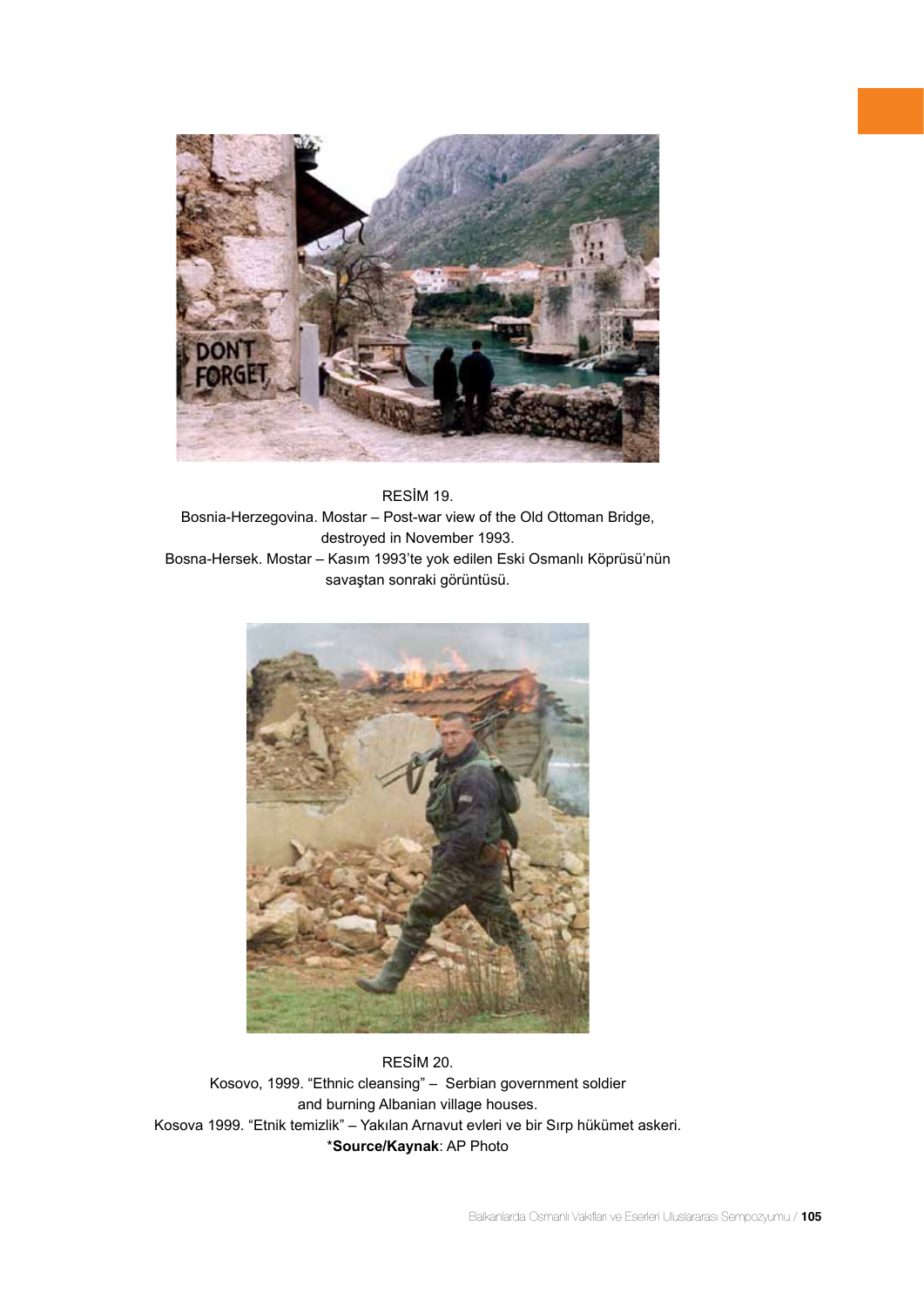

RESİM 19. Bosnia-Herzegovina. Mostar – Post-war view of the Old Ottoman Bridge, destroyed in November 1993. Bosna-Hersek. Mostar – Kasım 1993'te yok edilen Eski Osmanlı Köprüsü'nün savaştan sonraki görüntüsü.



RESİM 20. Kosovo, 1999. "Ethnic cleansing" – Serbian government soldier and burning Albanian village houses. Kosova 1999. "Etnik temizlik" – Yakılan Arnavut evleri ve bir Sırp hükümet askeri. \***Source/Kaynak**: AP Photo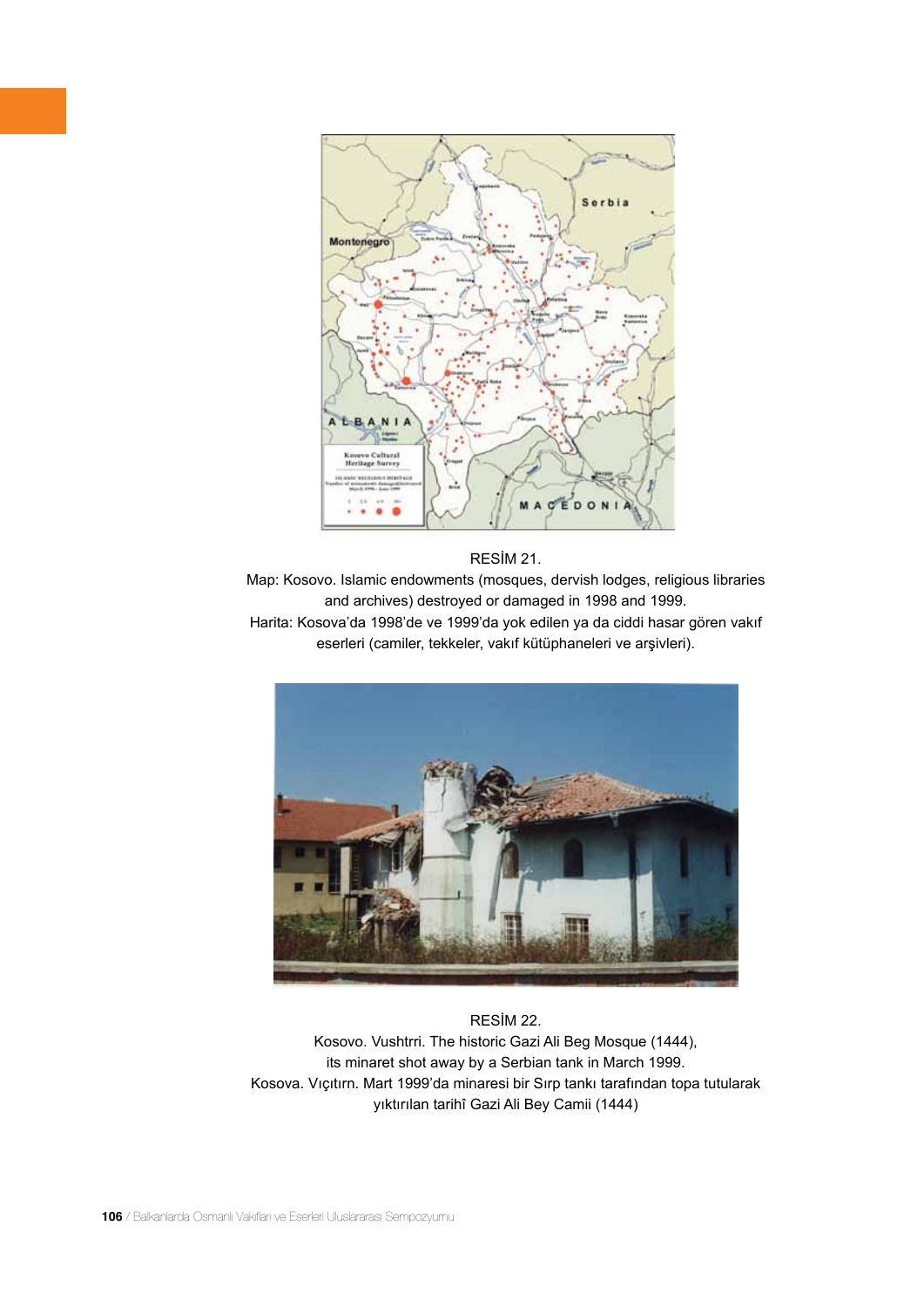

#### RESİM 21.

Map: Kosovo. Islamic endowments (mosques, dervish lodges, religious libraries and archives) destroyed or damaged in 1998 and 1999. Harita: Kosova'da 1998'de ve 1999'da yok edilen ya da ciddi hasar gören vakıf

eserleri (camiler, tekkeler, vakıf kütüphaneleri ve arşivleri).



RESİM 22. Kosovo. Vushtrri. The historic Gazi Ali Beg Mosque (1444), its minaret shot away by a Serbian tank in March 1999. Kosova. Vıçıtırn. Mart 1999'da minaresi bir Sırp tankı tarafından topa tutularak yıktırılan tarihî Gazi Ali Bey Camii (1444)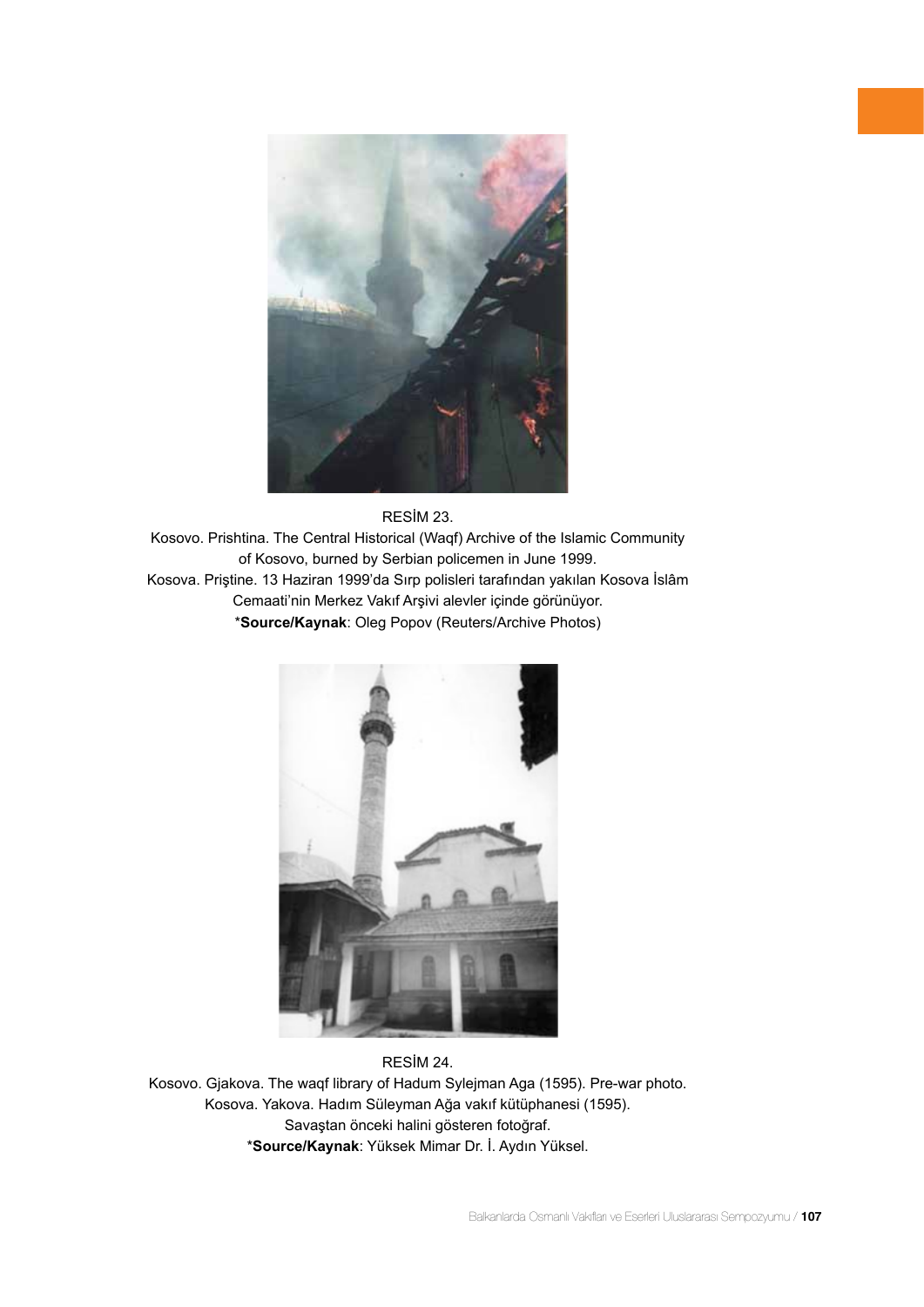

#### RESİM 23.

Kosovo. Prishtina. The Central Historical (Waqf) Archive of the Islamic Community of Kosovo, burned by Serbian policemen in June 1999. Kosova. Priştine. 13 Haziran 1999'da Sırp polisleri tarafından yakılan Kosova İslâm Cemaati'nin Merkez Vakıf Arşivi alevler içinde görünüyor. \***Source/Kaynak**: Oleg Popov (Reuters/Archive Photos)



RESİM 24. Kosovo. Gjakova. The waqf library of Hadum Sylejman Aga (1595). Pre-war photo. Kosova. Yakova. Hadım Süleyman Ağa vakıf kütüphanesi (1595). Savaştan önceki halini gösteren fotoğraf. \***Source/Kaynak**: Yüksek Mimar Dr. İ. Aydın Yüksel.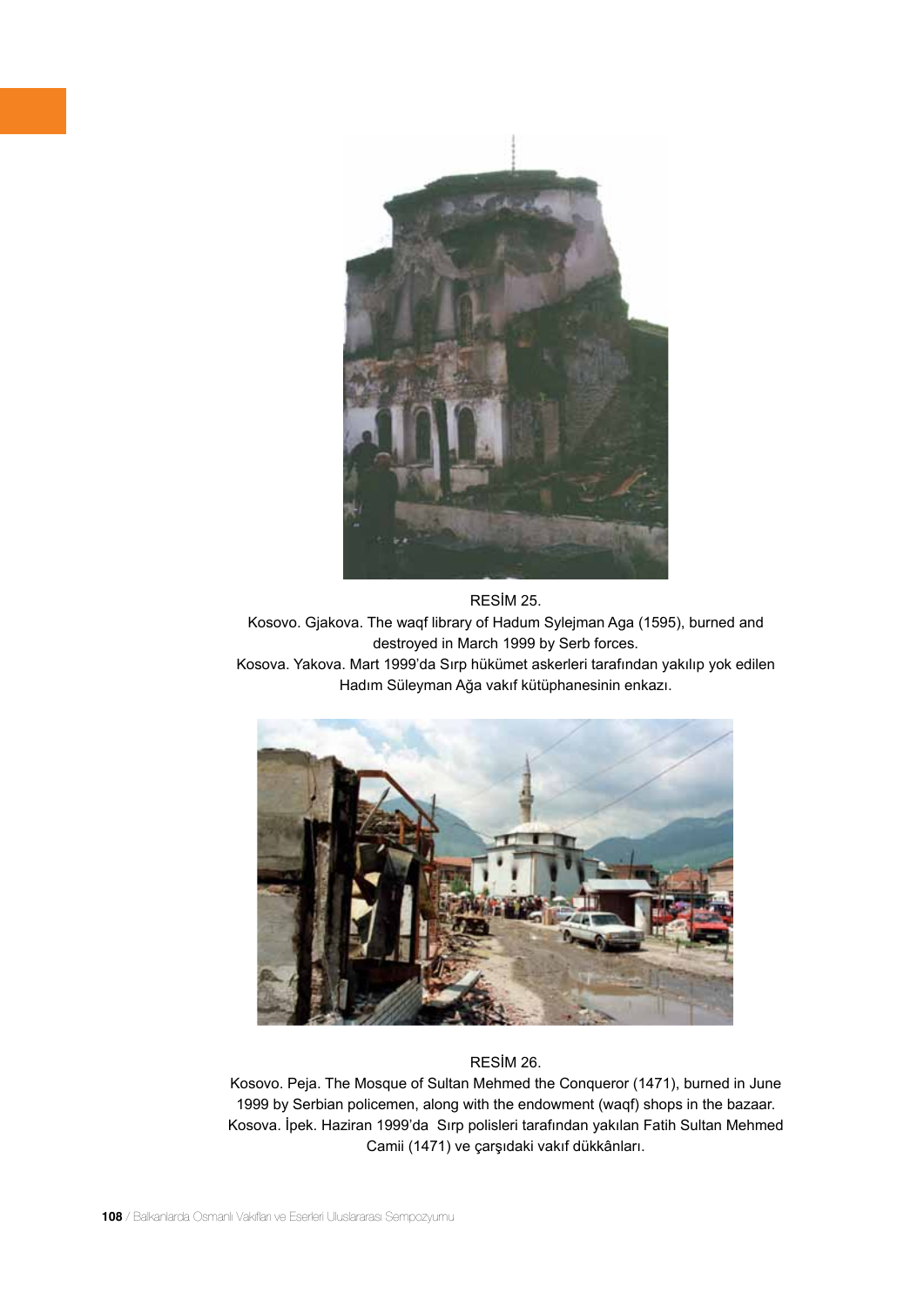

RESİM 25. Kosovo. Gjakova. The waqf library of Hadum Sylejman Aga (1595), burned and destroyed in March 1999 by Serb forces. Kosova. Yakova. Mart 1999'da Sırp hükümet askerleri tarafından yakılıp yok edilen





# RESİM 26.

Kosovo. Peja. The Mosque of Sultan Mehmed the Conqueror (1471), burned in June 1999 by Serbian policemen, along with the endowment (waqf) shops in the bazaar. Kosova. İpek. Haziran 1999'da Sırp polisleri tarafından yakılan Fatih Sultan Mehmed Camii (1471) ve çarşıdaki vakıf dükkânları.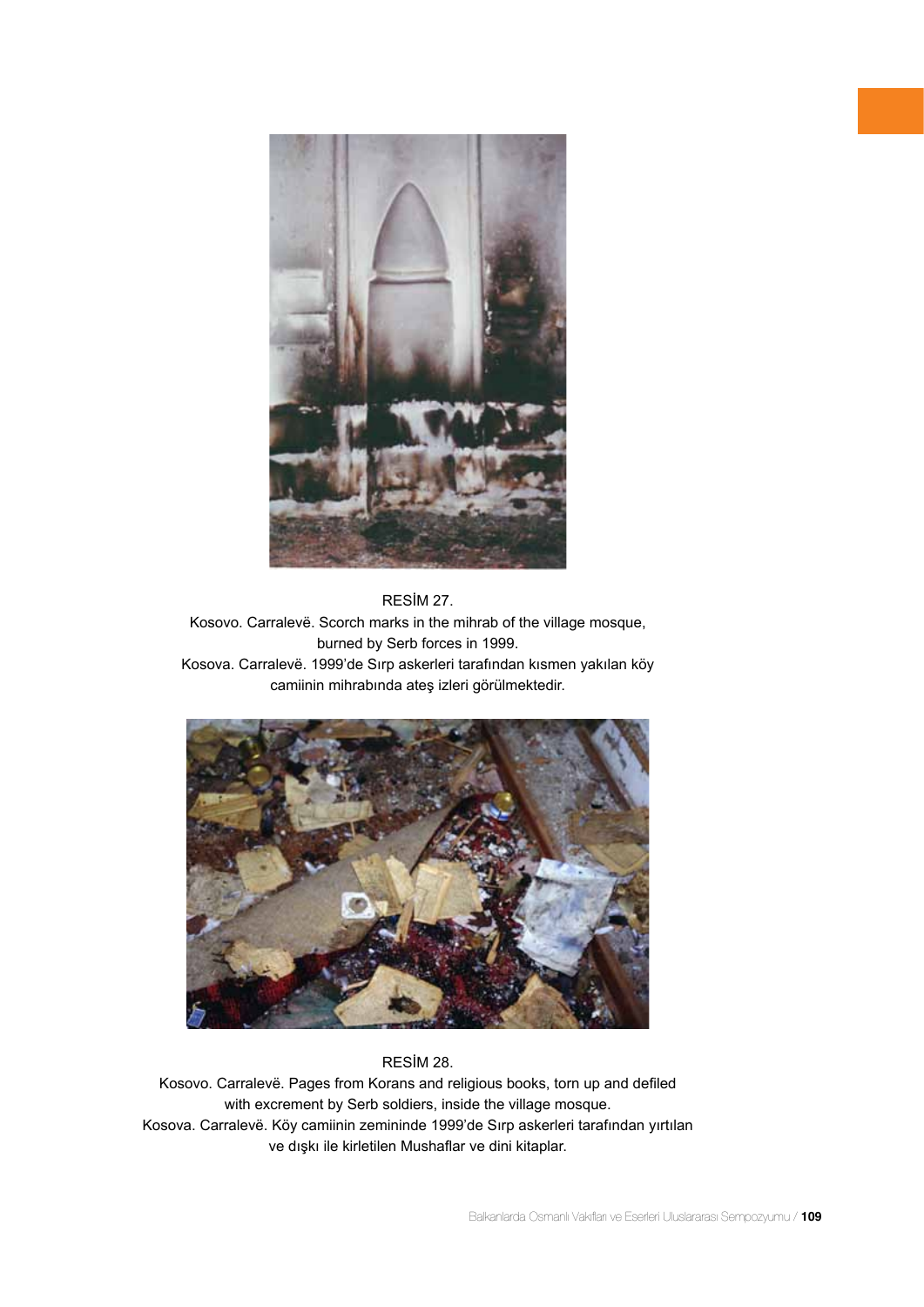

RESİM 27. Kosovo. Carralevë. Scorch marks in the mihrab of the village mosque, burned by Serb forces in 1999. Kosova. Carralevë. 1999'de Sırp askerleri tarafından kısmen yakılan köy camiinin mihrabında ateş izleri görülmektedir.



# RESİM 28.

Kosovo. Carralevë. Pages from Korans and religious books, torn up and defiled with excrement by Serb soldiers, inside the village mosque. Kosova. Carralevë. Köy camiinin zemininde 1999'de Sırp askerleri tarafından yırtılan ve dışkı ile kirletilen Mushaflar ve dini kitaplar.